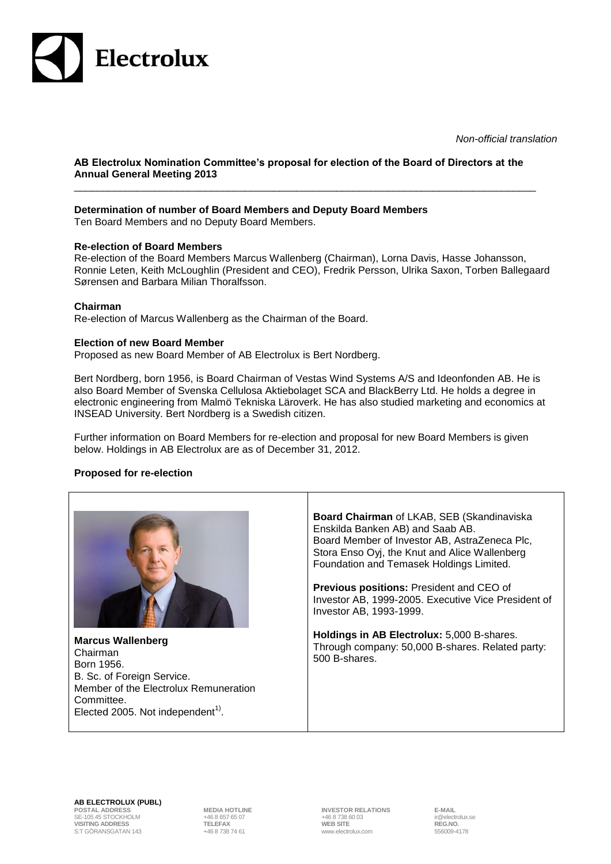

*Non-official translation*

## **AB Electrolux Nomination Committee's proposal for election of the Board of Directors at the Annual General Meeting 2013**

\_\_\_\_\_\_\_\_\_\_\_\_\_\_\_\_\_\_\_\_\_\_\_\_\_\_\_\_\_\_\_\_\_\_\_\_\_\_\_\_\_\_\_\_\_\_\_\_\_\_\_\_\_\_\_\_\_\_\_\_\_\_\_\_\_\_\_\_\_\_\_\_\_\_\_\_\_\_\_\_\_

# **Determination of number of Board Members and Deputy Board Members**

Ten Board Members and no Deputy Board Members.

## **Re-election of Board Members**

Re-election of the Board Members Marcus Wallenberg (Chairman), Lorna Davis, Hasse Johansson, Ronnie Leten, Keith McLoughlin (President and CEO), Fredrik Persson, Ulrika Saxon, Torben Ballegaard Sørensen and Barbara Milian Thoralfsson.

#### **Chairman**

Re-election of Marcus Wallenberg as the Chairman of the Board.

#### **Election of new Board Member**

Proposed as new Board Member of AB Electrolux is Bert Nordberg.

Bert Nordberg, born 1956, is Board Chairman of Vestas Wind Systems A/S and Ideonfonden AB. He is also Board Member of Svenska Cellulosa Aktiebolaget SCA and BlackBerry Ltd. He holds a degree in electronic engineering from Malmö Tekniska Läroverk. He has also studied marketing and economics at INSEAD University. Bert Nordberg is a Swedish citizen.

Further information on Board Members for re-election and proposal for new Board Members is given below. Holdings in AB Electrolux are as of December 31, 2012.

## **Proposed for re-election**



**AB ELECTROLUX (PUBL)**

SE-105 45 STOCKHOLM +46 8 657 65 07 +46 8 738 60 03 ir@electrolux.se **VISITING ADDRESS TELEFAX WEB SITE REG.NO.** S:T GÖRANSGATAN 143

**POSTAL ADDRESS MEDIA HOTLINE 1NVESTOR RELATIONS** E-MAIL<br>+46 8 657 65 07 +46 8 738 60 03 +46 8 738 60 03 in @electrolux.se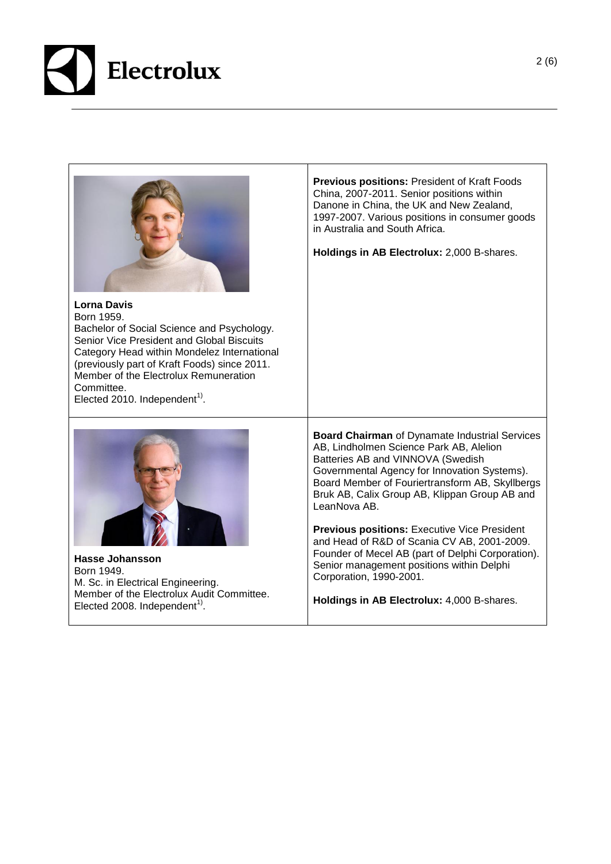

|                                                                                                                                                                                                                                                                                                                                | <b>Previous positions: President of Kraft Foods</b><br>China, 2007-2011. Senior positions within<br>Danone in China, the UK and New Zealand,<br>1997-2007. Various positions in consumer goods<br>in Australia and South Africa.<br>Holdings in AB Electrolux: 2,000 B-shares.                                                                                                                                                                                                                                                               |
|--------------------------------------------------------------------------------------------------------------------------------------------------------------------------------------------------------------------------------------------------------------------------------------------------------------------------------|----------------------------------------------------------------------------------------------------------------------------------------------------------------------------------------------------------------------------------------------------------------------------------------------------------------------------------------------------------------------------------------------------------------------------------------------------------------------------------------------------------------------------------------------|
| <b>Lorna Davis</b><br>Born 1959.<br>Bachelor of Social Science and Psychology.<br>Senior Vice President and Global Biscuits<br>Category Head within Mondelez International<br>(previously part of Kraft Foods) since 2011.<br>Member of the Electrolux Remuneration<br>Committee.<br>Elected 2010. Independent <sup>1)</sup> . |                                                                                                                                                                                                                                                                                                                                                                                                                                                                                                                                              |
| <b>Hasse Johansson</b><br>Born 1949.<br>M. Sc. in Electrical Engineering.                                                                                                                                                                                                                                                      | <b>Board Chairman</b> of Dynamate Industrial Services<br>AB, Lindholmen Science Park AB, Alelion<br>Batteries AB and VINNOVA (Swedish<br>Governmental Agency for Innovation Systems).<br>Board Member of Fouriertransform AB, Skyllbergs<br>Bruk AB, Calix Group AB, Klippan Group AB and<br>LeanNova AB.<br><b>Previous positions: Executive Vice President</b><br>and Head of R&D of Scania CV AB, 2001-2009.<br>Founder of Mecel AB (part of Delphi Corporation).<br>Senior management positions within Delphi<br>Corporation, 1990-2001. |
| Member of the Electrolux Audit Committee.<br>Elected 2008. Independent <sup>1)</sup> .                                                                                                                                                                                                                                         | Holdings in AB Electrolux: 4,000 B-shares.                                                                                                                                                                                                                                                                                                                                                                                                                                                                                                   |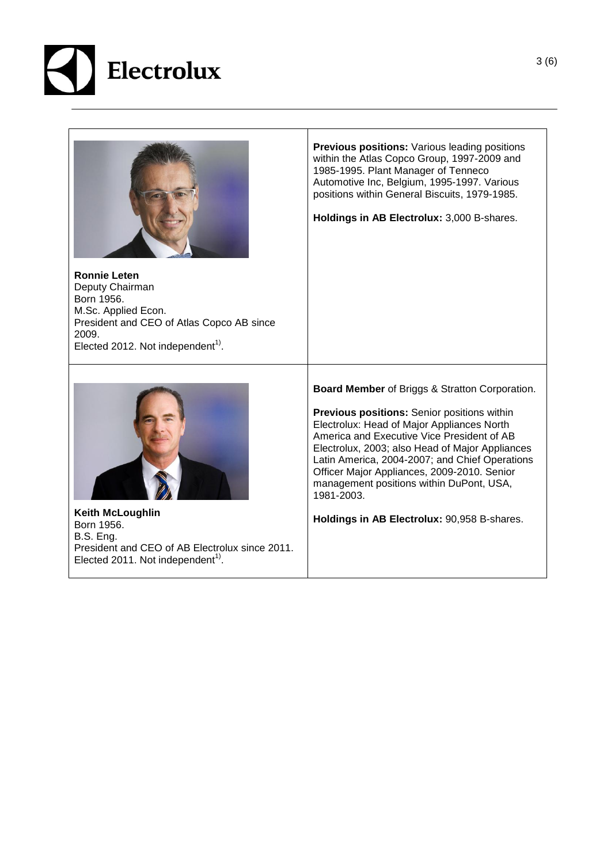



M.Sc. Applied Econ. President and CEO of Atlas Copco AB since 2009. Elected 2012. Not independent<sup>1)</sup>.

**Previous positions:** Various leading positions within the Atlas Copco Group, 1997-2009 and 1985-1995. Plant Manager of [Tenneco](http://sv.wikipedia.org/w/index.php?title=Tenneco_Automotive&action=edit&redlink=1)  [Automotive](http://sv.wikipedia.org/w/index.php?title=Tenneco_Automotive&action=edit&redlink=1) Inc, Belgium, 1995-1997. Various positions within General Biscuits, 1979-1985.

**Holdings in AB Electrolux:** 3,000 B-shares.



**Keith McLoughlin** Born 1956. B.S. Eng. President and CEO of AB Electrolux since 2011. Elected 2011. Not independent<sup>1)</sup>.

**Board Member** of Briggs & Stratton Corporation.

**Previous positions:** Senior positions within Electrolux: Head of Major Appliances North America and Executive Vice President of AB Electrolux, 2003; also Head of Major Appliances Latin America, 2004-2007; and Chief Operations Officer Major Appliances, 2009-2010. Senior management positions within DuPont, USA, 1981-2003.

**Holdings in AB Electrolux:** 90,958 B-shares.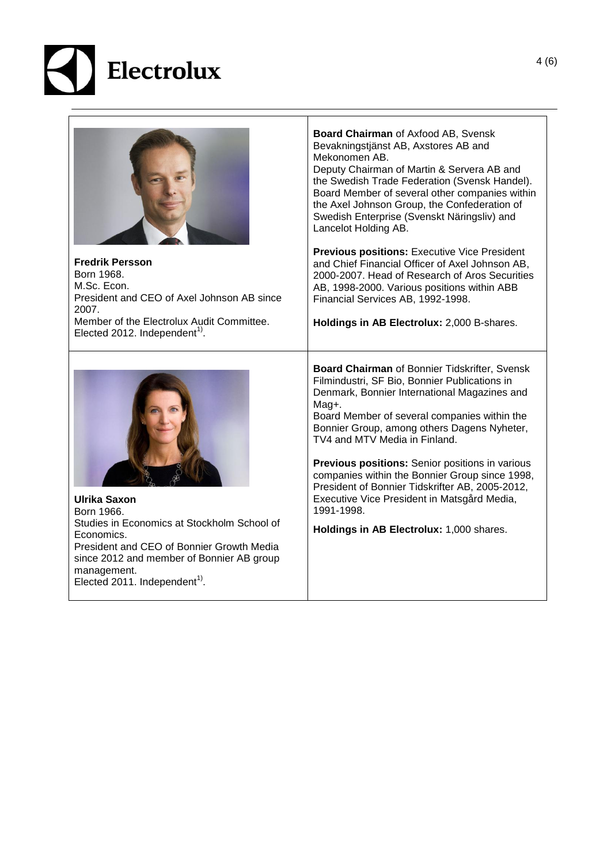

| <b>Fredrik Persson</b><br>Born 1968.<br>M.Sc. Econ.<br>President and CEO of Axel Johnson AB since<br>2007.<br>Member of the Electrolux Audit Committee.<br>Elected 2012. Independent <sup>1)</sup> .                                                 | Board Chairman of Axfood AB, Svensk<br>Bevakningstjänst AB, Axstores AB and<br>Mekonomen AB.<br>Deputy Chairman of Martin & Servera AB and<br>the Swedish Trade Federation (Svensk Handel).<br>Board Member of several other companies within<br>the Axel Johnson Group, the Confederation of<br>Swedish Enterprise (Svenskt Näringsliv) and<br>Lancelot Holding AB.<br><b>Previous positions:</b> Executive Vice President<br>and Chief Financial Officer of Axel Johnson AB,<br>2000-2007. Head of Research of Aros Securities<br>AB, 1998-2000. Various positions within ABB<br>Financial Services AB, 1992-1998.<br>Holdings in AB Electrolux: 2,000 B-shares. |
|------------------------------------------------------------------------------------------------------------------------------------------------------------------------------------------------------------------------------------------------------|--------------------------------------------------------------------------------------------------------------------------------------------------------------------------------------------------------------------------------------------------------------------------------------------------------------------------------------------------------------------------------------------------------------------------------------------------------------------------------------------------------------------------------------------------------------------------------------------------------------------------------------------------------------------|
| <b>Ulrika Saxon</b><br>Born 1966.<br>Studies in Economics at Stockholm School of<br>Economics.<br>President and CEO of Bonnier Growth Media<br>since 2012 and member of Bonnier AB group<br>management.<br>Elected 2011. Independent <sup>1)</sup> . | Board Chairman of Bonnier Tidskrifter, Svensk<br>Filmindustri, SF Bio, Bonnier Publications in<br>Denmark, Bonnier International Magazines and<br>Mag+.<br>Board Member of several companies within the<br>Bonnier Group, among others Dagens Nyheter,<br>TV4 and MTV Media in Finland.<br><b>Previous positions:</b> Senior positions in various<br>companies within the Bonnier Group since 1998,<br>President of Bonnier Tidskrifter AB, 2005-2012,<br>Executive Vice President in Matsgård Media,<br>1991-1998<br>Holdings in AB Electrolux: 1,000 shares.                                                                                                     |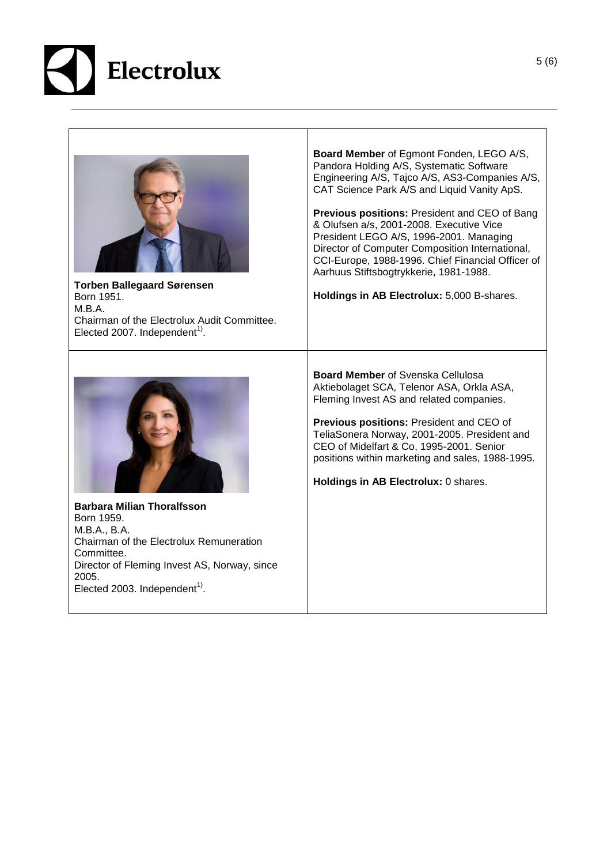

| <b>Torben Ballegaard Sørensen</b><br>Born 1951.<br>M.B.A.<br>Chairman of the Electrolux Audit Committee.<br>Elected 2007. Independent <sup>1)</sup> . | Board Member of Egmont Fonden, LEGO A/S,<br>Pandora Holding A/S, Systematic Software<br>Engineering A/S, Tajco A/S, AS3-Companies A/S,<br>CAT Science Park A/S and Liquid Vanity ApS.<br>Previous positions: President and CEO of Bang<br>& Olufsen a/s, 2001-2008. Executive Vice<br>President LEGO A/S, 1996-2001. Managing<br>Director of Computer Composition International,<br>CCI-Europe, 1988-1996. Chief Financial Officer of<br>Aarhuus Stiftsbogtrykkerie, 1981-1988.<br>Holdings in AB Electrolux: 5,000 B-shares. |
|-------------------------------------------------------------------------------------------------------------------------------------------------------|-------------------------------------------------------------------------------------------------------------------------------------------------------------------------------------------------------------------------------------------------------------------------------------------------------------------------------------------------------------------------------------------------------------------------------------------------------------------------------------------------------------------------------|
| <b>Barbara Milian Thoralfsson</b>                                                                                                                     | <b>Board Member of Svenska Cellulosa</b>                                                                                                                                                                                                                                                                                                                                                                                                                                                                                      |
| Born 1959.                                                                                                                                            | Aktiebolaget SCA, Telenor ASA, Orkla ASA,                                                                                                                                                                                                                                                                                                                                                                                                                                                                                     |
| M.B.A., B.A.                                                                                                                                          | Fleming Invest AS and related companies.                                                                                                                                                                                                                                                                                                                                                                                                                                                                                      |
| Chairman of the Electrolux Remuneration                                                                                                               | Previous positions: President and CEO of                                                                                                                                                                                                                                                                                                                                                                                                                                                                                      |
| Committee.                                                                                                                                            | TeliaSonera Norway, 2001-2005. President and                                                                                                                                                                                                                                                                                                                                                                                                                                                                                  |
| Director of Fleming Invest AS, Norway, since                                                                                                          | CEO of Midelfart & Co, 1995-2001. Senior                                                                                                                                                                                                                                                                                                                                                                                                                                                                                      |
| 2005.                                                                                                                                                 | positions within marketing and sales, 1988-1995.                                                                                                                                                                                                                                                                                                                                                                                                                                                                              |
| Elected 2003. Independent <sup>1)</sup> .                                                                                                             | Holdings in AB Electrolux: 0 shares.                                                                                                                                                                                                                                                                                                                                                                                                                                                                                          |